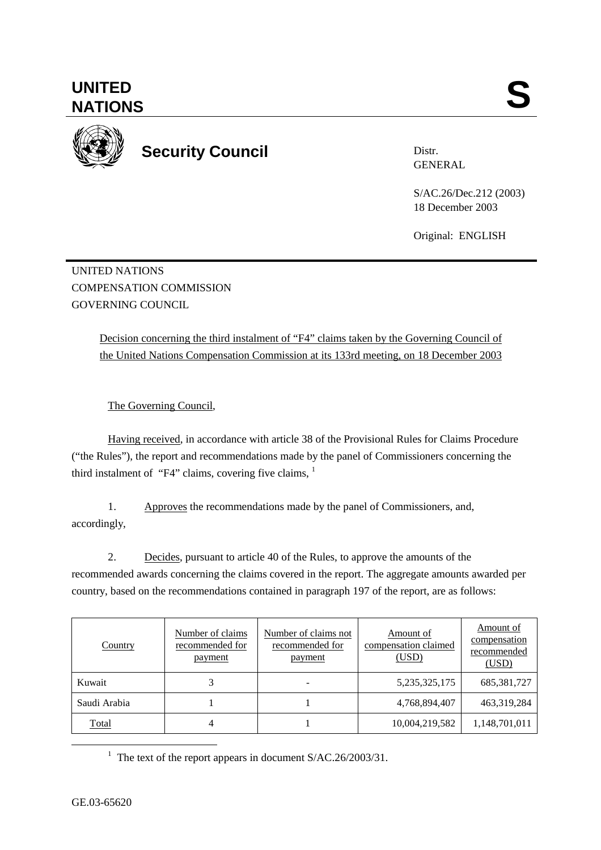**UNITED**  UNITED SANTIONS



**Security Council** 

Distr. GENERAL

S/AC.26/Dec.212 (2003) 18 December 2003

Original: ENGLISH

UNITED NATIONS COMPENSATION COMMISSION GOVERNING COUNCIL

> Decision concerning the third instalment of "F4" claims taken by the Governing Council of the United Nations Compensation Commission at its 133rd meeting, on 18 December 2003

The Governing Council,

Having received, in accordance with article 38 of the Provisional Rules for Claims Procedure ("the Rules"), the report and recommendations made by the panel of Commissioners concerning the third instalment of "F4" claims, covering five claims,  $1$ 

1. Approves the recommendations made by the panel of Commissioners, and, accordingly,

2. Decides, pursuant to article 40 of the Rules, to approve the amounts of the recommended awards concerning the claims covered in the report. The aggregate amounts awarded per country, based on the recommendations contained in paragraph 197 of the report, are as follows:

| Country      | Number of claims<br>recommended for<br>payment | Number of claims not<br>recommended for<br>payment | Amount of<br>compensation claimed<br>(USD) | Amount of<br>compensation<br>recommended<br>(USD) |
|--------------|------------------------------------------------|----------------------------------------------------|--------------------------------------------|---------------------------------------------------|
| Kuwait       |                                                |                                                    | 5, 235, 325, 175                           | 685, 381, 727                                     |
| Saudi Arabia |                                                |                                                    | 4,768,894,407                              | 463,319,284                                       |
| Total        | 4                                              |                                                    | 10,004,219,582                             | 1,148,701,011                                     |

<u>1</u> <sup>1</sup> The text of the report appears in document  $S/AC.26/2003/31$ .